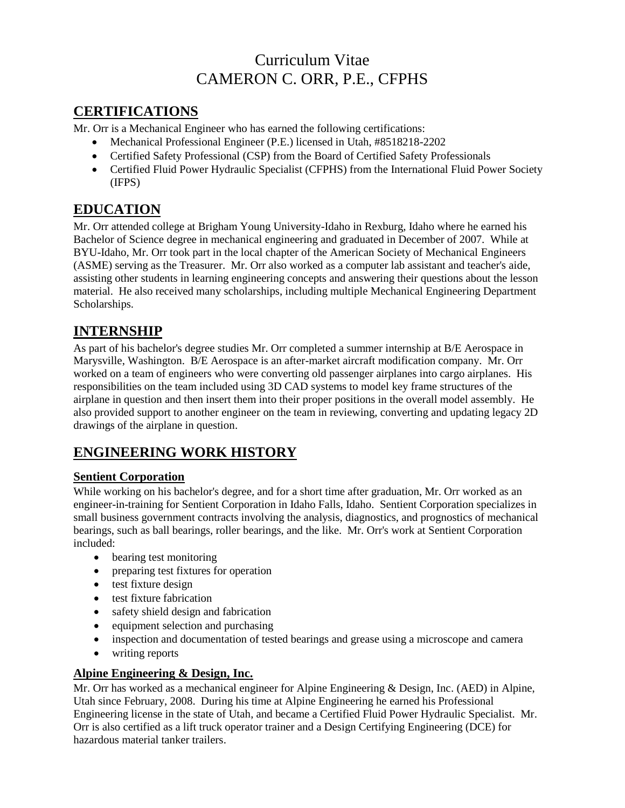# Curriculum Vitae CAMERON C. ORR, P.E., CFPHS

## **CERTIFICATIONS**

Mr. Orr is a Mechanical Engineer who has earned the following certifications:

- Mechanical Professional Engineer (P.E.) licensed in Utah, #8518218-2202
- Certified Safety Professional (CSP) from the Board of Certified Safety Professionals
- Certified Fluid Power Hydraulic Specialist (CFPHS) from the International Fluid Power Society (IFPS)

## **EDUCATION**

Mr. Orr attended college at Brigham Young University-Idaho in Rexburg, Idaho where he earned his Bachelor of Science degree in mechanical engineering and graduated in December of 2007. While at BYU-Idaho, Mr. Orr took part in the local chapter of the American Society of Mechanical Engineers (ASME) serving as the Treasurer. Mr. Orr also worked as a computer lab assistant and teacher's aide, assisting other students in learning engineering concepts and answering their questions about the lesson material. He also received many scholarships, including multiple Mechanical Engineering Department Scholarships.

### **INTERNSHIP**

As part of his bachelor's degree studies Mr. Orr completed a summer internship at B/E Aerospace in Marysville, Washington. B/E Aerospace is an after-market aircraft modification company. Mr. Orr worked on a team of engineers who were converting old passenger airplanes into cargo airplanes. His responsibilities on the team included using 3D CAD systems to model key frame structures of the airplane in question and then insert them into their proper positions in the overall model assembly. He also provided support to another engineer on the team in reviewing, converting and updating legacy 2D drawings of the airplane in question.

## **ENGINEERING WORK HISTORY**

### **Sentient Corporation**

While working on his bachelor's degree, and for a short time after graduation, Mr. Orr worked as an engineer-in-training for Sentient Corporation in Idaho Falls, Idaho. Sentient Corporation specializes in small business government contracts involving the analysis, diagnostics, and prognostics of mechanical bearings, such as ball bearings, roller bearings, and the like. Mr. Orr's work at Sentient Corporation included:

- bearing test monitoring
- preparing test fixtures for operation
- test fixture design
- test fixture fabrication
- safety shield design and fabrication
- equipment selection and purchasing
- inspection and documentation of tested bearings and grease using a microscope and camera
- writing reports

### **Alpine Engineering & Design, Inc.**

Mr. Orr has worked as a mechanical engineer for Alpine Engineering & Design, Inc. (AED) in Alpine, Utah since February, 2008. During his time at Alpine Engineering he earned his Professional Engineering license in the state of Utah, and became a Certified Fluid Power Hydraulic Specialist. Mr. Orr is also certified as a lift truck operator trainer and a Design Certifying Engineering (DCE) for hazardous material tanker trailers.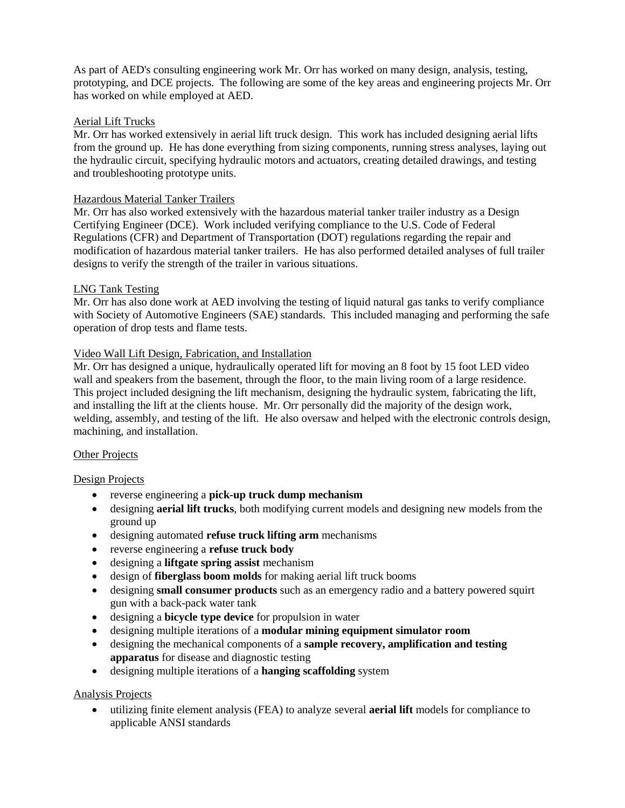As part of AED's consulting engineering work Mr. Orr has worked on many design, analysis, testing, prototyping, and DCE projects. The following are some of the key areas and engineering projects Mr. Orr has worked on while employed at AED.

#### Aerial Lift Trucks

Mr. Orr has worked extensively in aerial lift truck design. This work has included designing aerial lifts from the ground up. He has done everything from sizing components, running stress analyses, laying out the hydraulic circuit, specifying hydraulic motors and actuators, creating detailed drawings, and testing and troubleshooting prototype units.

#### Hazardous Material Tanker Trailers

Mr. Orr has also worked extensively with the hazardous material tanker trailer industry as a Design Certifying Engineer (DCE). Work included verifying compliance to the U.S. Code of Federal Regulations (CFR) and Department of Transportation (DOT) regulations regarding the repair and modification of hazardous material tanker trailers. He has also performed detailed analyses of full trailer designs to verify the strength of the trailer in various situations.

#### LNG Tank Testing

Mr. Orr has also done work at AED involving the testing of liquid natural gas tanks to verify compliance with Society of Automotive Engineers (SAE) standards. This included managing and performing the safe operation of drop tests and flame tests.

#### Video Wall Lift Design, Fabrication, and Installation

Mr. Orr has designed a unique, hydraulically operated lift for moving an 8 foot by 15 foot LED video wall and speakers from the basement, through the floor, to the main living room of a large residence. This project included designing the lift mechanism, designing the hydraulic system, fabricating the lift, and installing the lift at the clients house. Mr. Orr personally did the majority of the design work, welding, assembly, and testing of the lift. He also oversaw and helped with the electronic controls design, machining, and installation.

#### Other Projects

#### Design Projects

- reverse engineering a **pick-up truck dump mechanism**
- designing **aerial lift trucks**, both modifying current models and designing new models from the ground up
- designing automated **refuse truck lifting arm** mechanisms
- reverse engineering a **refuse truck body**
- designing a **liftgate spring assist** mechanism
- design of **fiberglass boom molds** for making aerial lift truck booms
- designing **small consumer products** such as an emergency radio and a battery powered squirt gun with a back-pack water tank
- designing a **bicycle type device** for propulsion in water
- designing multiple iterations of a **modular mining equipment simulator room**
- designing the mechanical components of a **sample recovery, amplification and testing apparatus** for disease and diagnostic testing
- designing multiple iterations of a **hanging scaffolding** system

#### Analysis Projects

 utilizing finite element analysis (FEA) to analyze several **aerial lift** models for compliance to applicable ANSI standards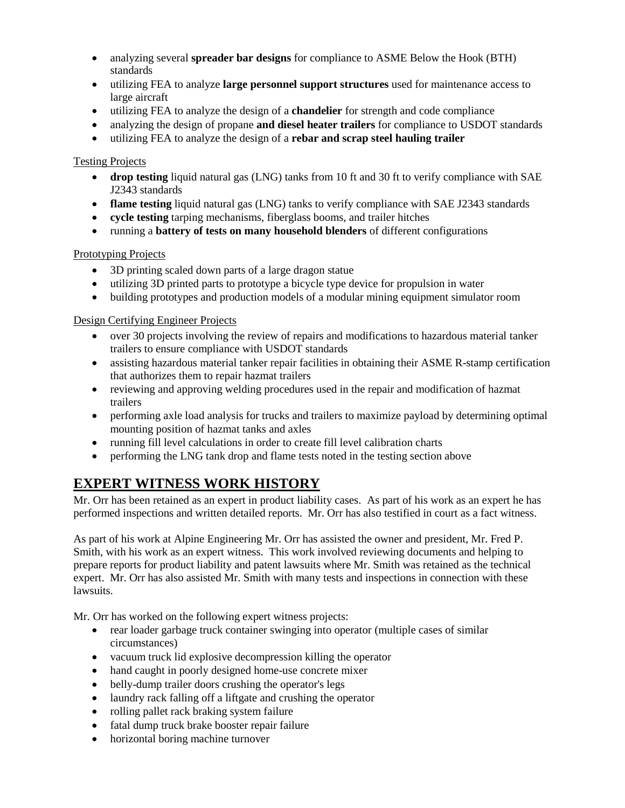- analyzing several **spreader bar designs** for compliance to ASME Below the Hook (BTH) standards
- utilizing FEA to analyze **large personnel support structures** used for maintenance access to large aircraft
- utilizing FEA to analyze the design of a **chandelier** for strength and code compliance
- analyzing the design of propane **and diesel heater trailers** for compliance to USDOT standards
- utilizing FEA to analyze the design of a **rebar and scrap steel hauling trailer**

#### Testing Projects

- **drop testing** liquid natural gas (LNG) tanks from 10 ft and 30 ft to verify compliance with SAE J2343 standards
- **flame testing** liquid natural gas (LNG) tanks to verify compliance with SAE J2343 standards
- **cycle testing** tarping mechanisms, fiberglass booms, and trailer hitches
- running a **battery of tests on many household blenders** of different configurations

#### Prototyping Projects

- 3D printing scaled down parts of a large dragon statue
- utilizing 3D printed parts to prototype a bicycle type device for propulsion in water
- building prototypes and production models of a modular mining equipment simulator room

#### Design Certifying Engineer Projects

- over 30 projects involving the review of repairs and modifications to hazardous material tanker trailers to ensure compliance with USDOT standards
- assisting hazardous material tanker repair facilities in obtaining their ASME R-stamp certification that authorizes them to repair hazmat trailers
- reviewing and approving welding procedures used in the repair and modification of hazmat trailers
- performing axle load analysis for trucks and trailers to maximize payload by determining optimal mounting position of hazmat tanks and axles
- running fill level calculations in order to create fill level calibration charts
- performing the LNG tank drop and flame tests noted in the testing section above

## **EXPERT WITNESS WORK HISTORY**

Mr. Orr has been retained as an expert in product liability cases. As part of his work as an expert he has performed inspections and written detailed reports. Mr. Orr has also testified in court as a fact witness.

As part of his work at Alpine Engineering Mr. Orr has assisted the owner and president, Mr. Fred P. Smith, with his work as an expert witness. This work involved reviewing documents and helping to prepare reports for product liability and patent lawsuits where Mr. Smith was retained as the technical expert. Mr. Orr has also assisted Mr. Smith with many tests and inspections in connection with these lawsuits.

Mr. Orr has worked on the following expert witness projects:

- rear loader garbage truck container swinging into operator (multiple cases of similar circumstances)
- vacuum truck lid explosive decompression killing the operator
- hand caught in poorly designed home-use concrete mixer
- belly-dump trailer doors crushing the operator's legs
- laundry rack falling off a liftgate and crushing the operator
- rolling pallet rack braking system failure
- fatal dump truck brake booster repair failure
- horizontal boring machine turnover